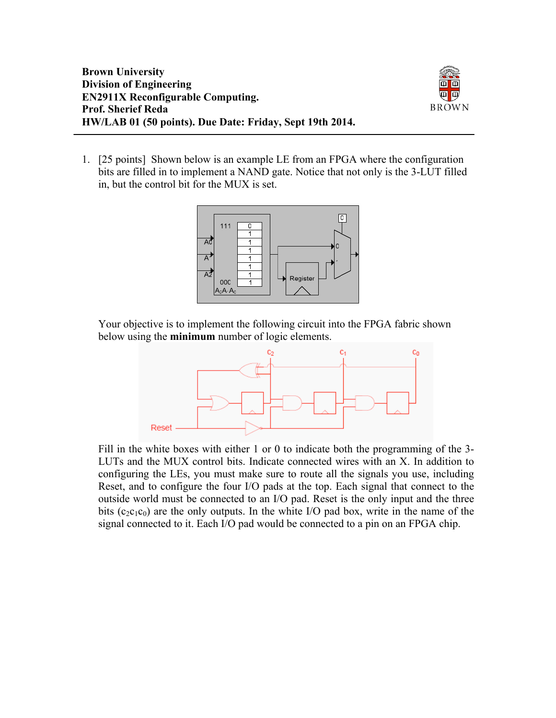

1. [25 points] Shown below is an example LE from an FPGA where the configuration bits are filled in to implement a NAND gate. Notice that not only is the 3-LUT filled in, but the control bit for the MUX is set.



Your objective is to implement the following circuit into the FPGA fabric shown below using the **minimum** number of logic elements.



Fill in the white boxes with either 1 or 0 to indicate both the programming of the 3- LUTs and the MUX control bits. Indicate connected wires with an X. In addition to configuring the LEs, you must make sure to route all the signals you use, including Reset, and to configure the four I/O pads at the top. Each signal that connect to the outside world must be connected to an I/O pad. Reset is the only input and the three bits ( $c_2c_1c_0$ ) are the only outputs. In the white I/O pad box, write in the name of the signal connected to it. Each I/O pad would be connected to a pin on an FPGA chip.